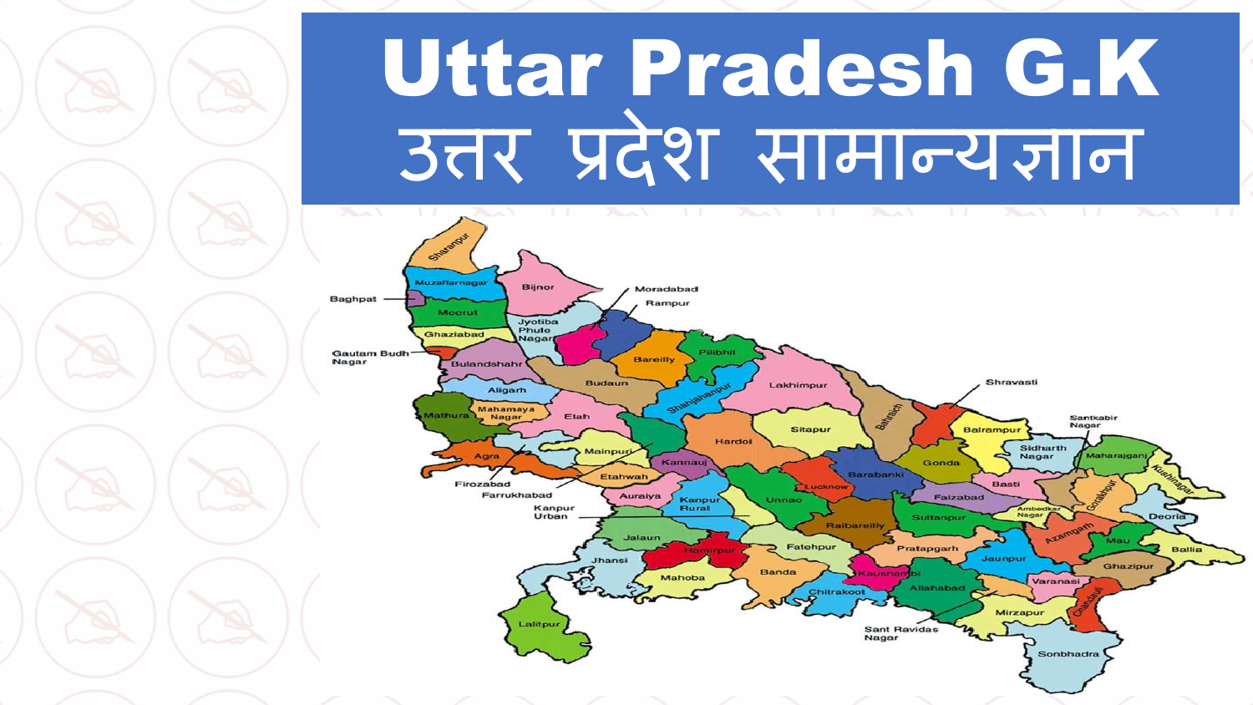# Uttar Pradesh G.K उत्तर प्रदेश सामान्यज्ञान

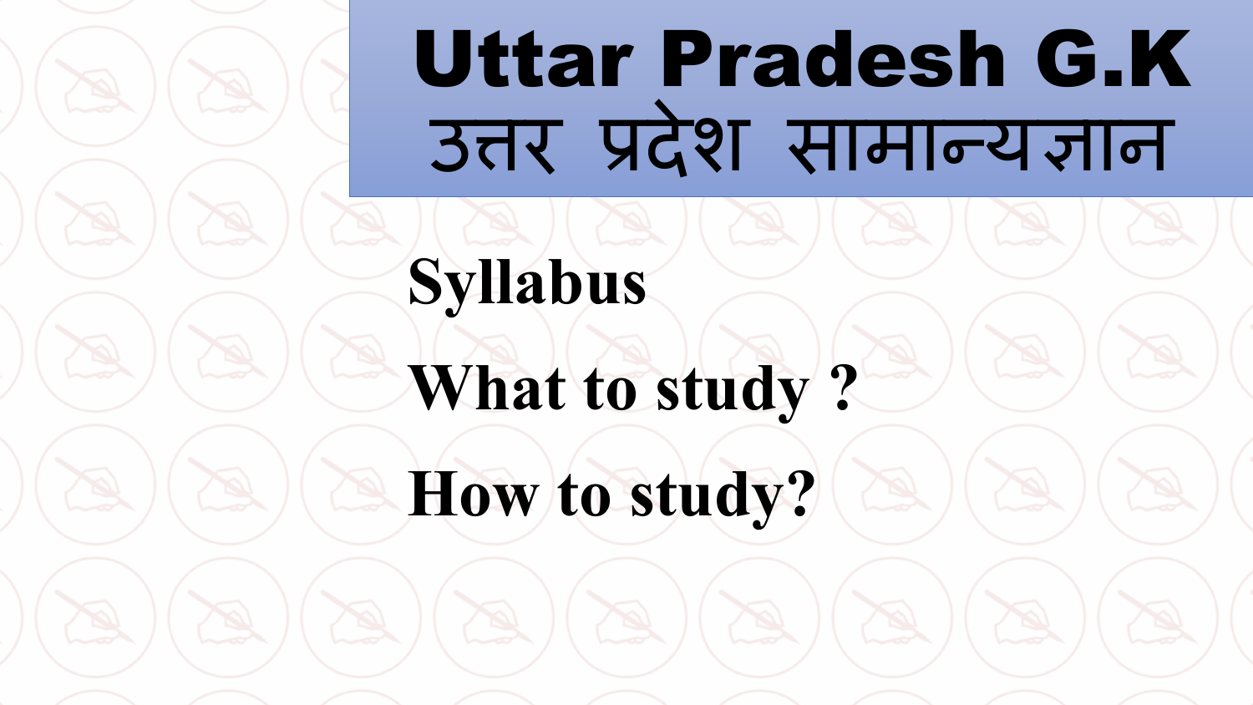## Uttar Pradesh G.K उत्तर प्रदेश सामान्यज्ञान

#### **Syllabus**

**What to study ?**

**How to study?**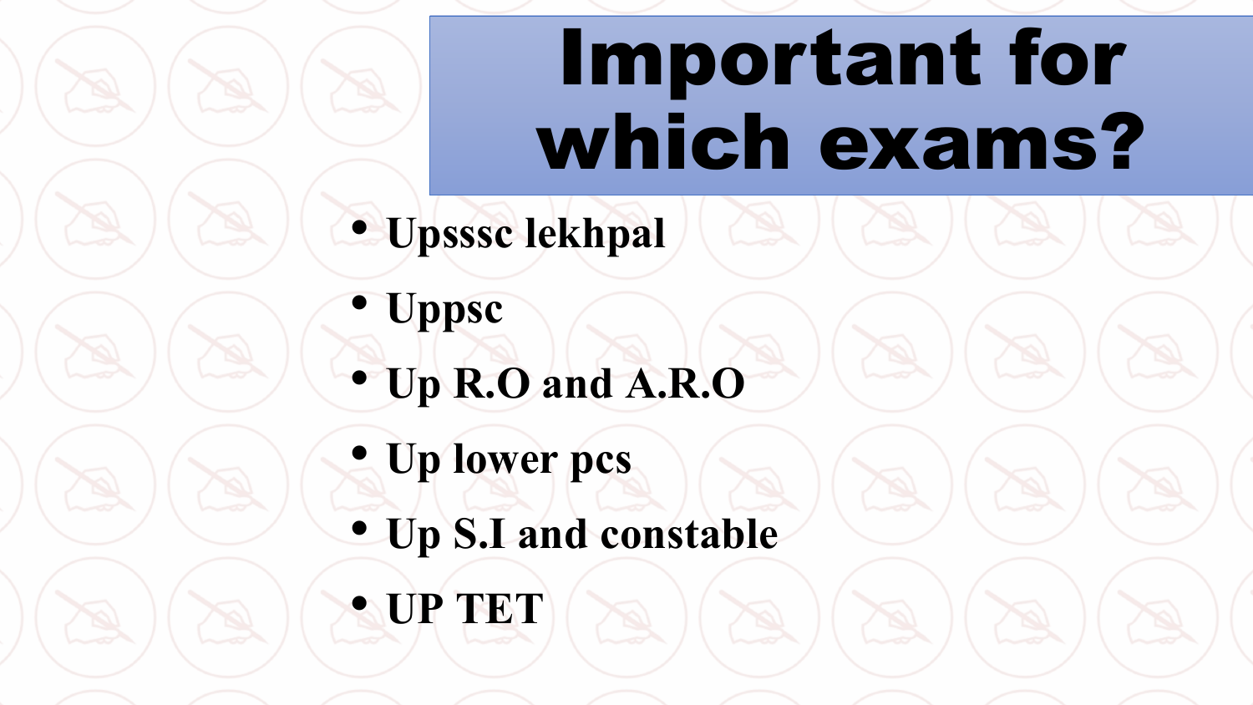# Important for which exams?

• **Upsssc lekhpal**

- **Uppsc** • **Up R.O and A.R.O**
- **Up lower pcs**
- **Up S.I and constable**
- **UP TET**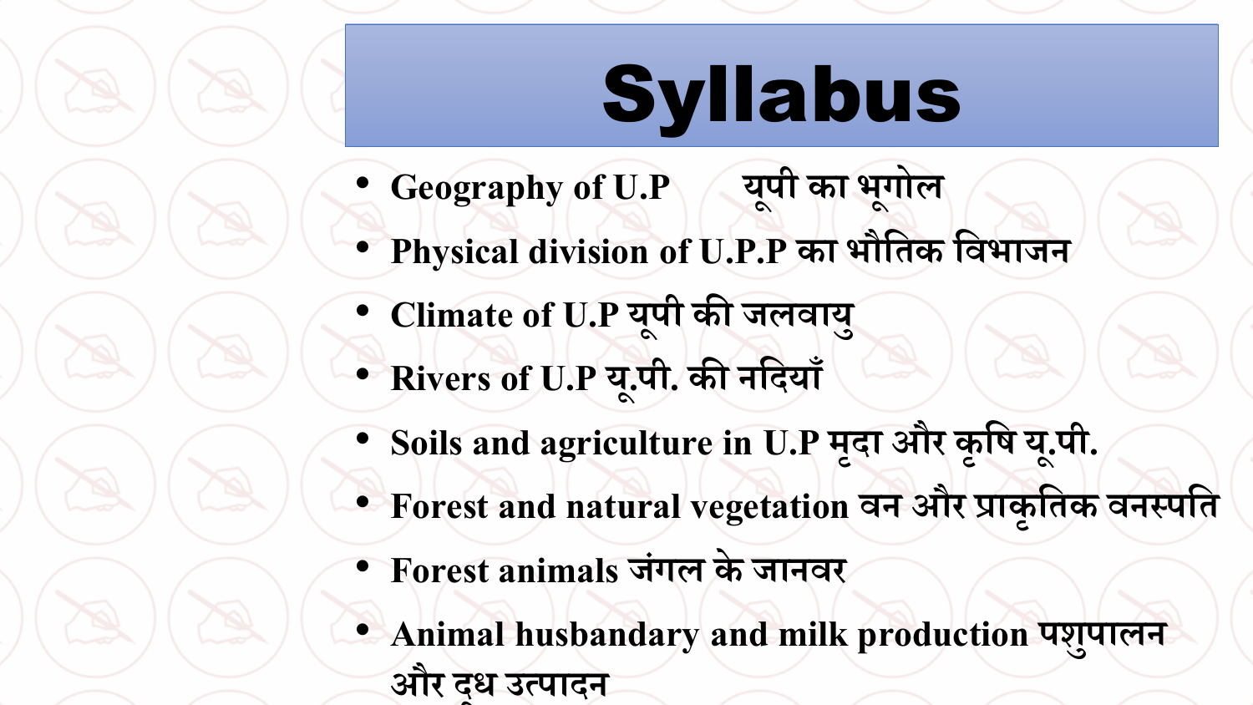# Syllabus

- **Geography of U.P ू पी का भ ू गोल**
- **Physical division of U.P.P का भौतिक तिभाजन**
- **Climate of U.P य ू पी की जलिाय ु**
- **Rivers of U.P य ू.पी. की नतियााँ**
- **Soils and agriculture in U.P म ृिा और क ृ ति य ू.पी.**
- **Forest and natural vegetation िन और प्राक ृ तिक िनस्पति**
- **Forest animals ज गल केजानिर ं**
- **Animal husbandary and milk production पश ु पालन**  $\frac{1}{3}$ और दूध उत्पादन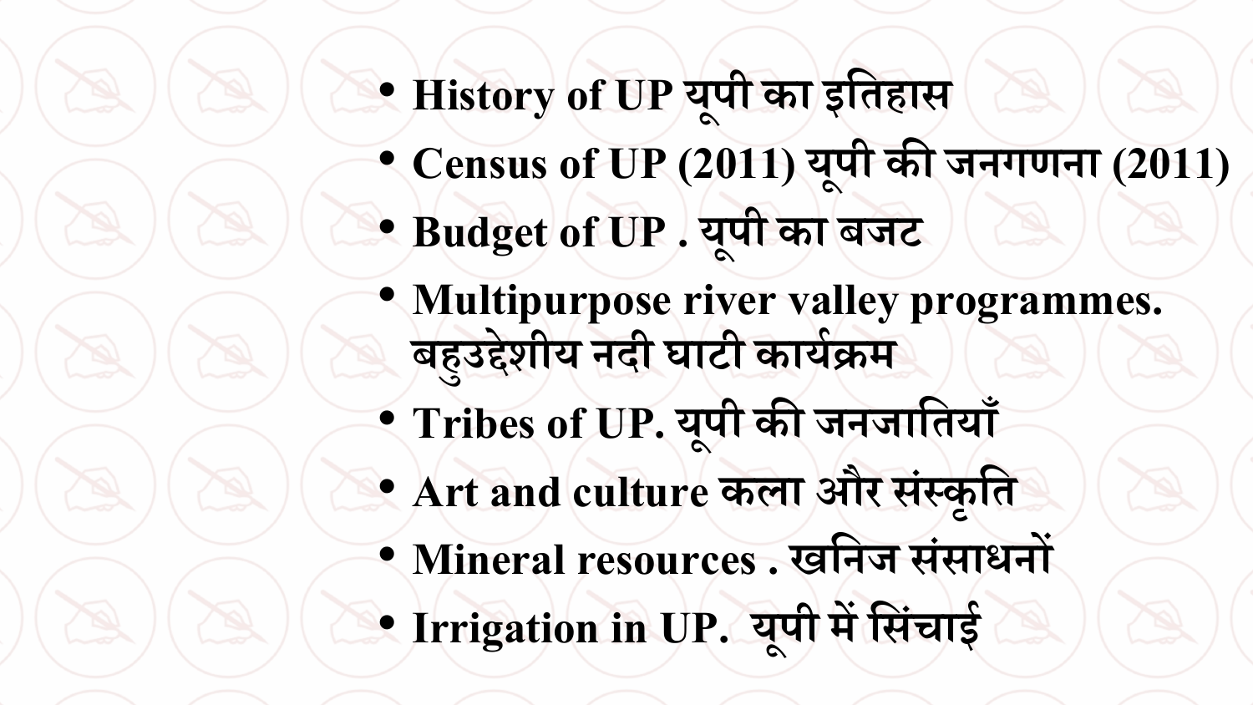- **History of UP य ू पी का इतिहास** • **Census of UP (2011) य ू पी की जनगणना (2011)** • **Budget of UP . य ू पी का बजट**
- **Multipurpose river valley programmes. बह ु उद्देशीय निी घाटी काययक्रम**
- **Tribes of UP. य ू पी की जनजातिया ाँ**
- **Art and culture कला और स स्क ृ ति ं**
- **Mineral resources . खतनज स साधनों ं** • **Irrigation in UP. य ू पी मेंतस चाईं**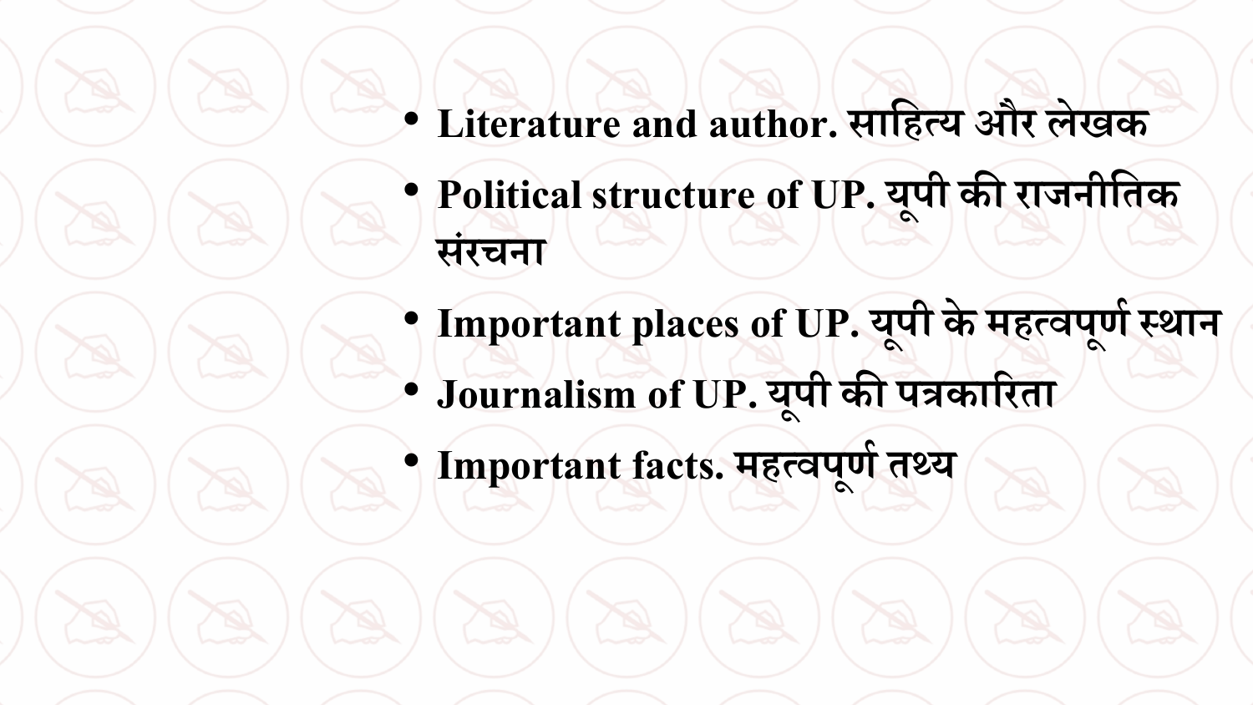• **Literature and author. सातहत्य और लेखक** • **Political structure of UP. य ू पी की राजनीतिक सर चना ं**

• **Important places of UP. य ू पी केमहत्िप ू णयस्थान** • **Journalism of UP. य ू पी की पत्रकाररिा**

• **Important facts. महत्िप ू णयिथ्य**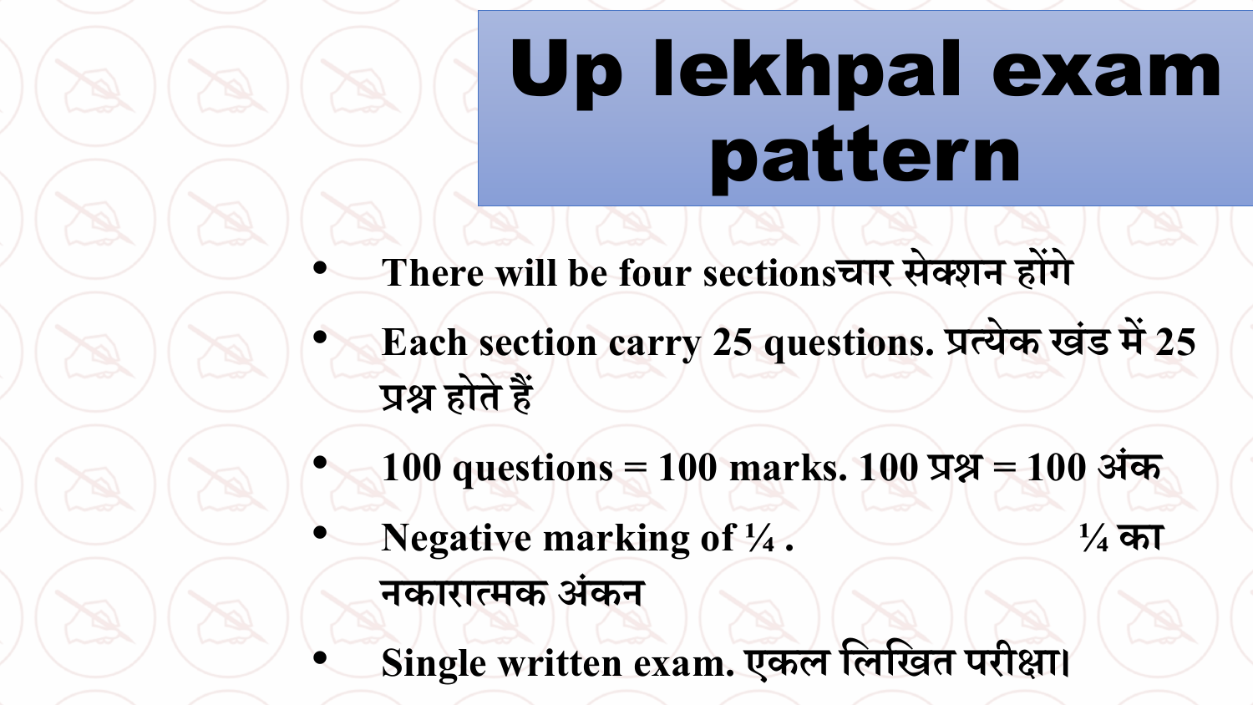# Up lekhpal exam pattern

- **There will be four sectionsचार सेक्शन होंगे**
- **Each section carry 25 questions. प्रत्येक ख ड में25 ं प्रश्न होिे हैं**
- **100 questions = 100 marks. 100 प्रश्न = 100 अ क ं**
- **Negative marking of ¼ . ¼ का** 
	- **नकारात्मक अ कन ं**
	- **Single written exam. एकल तलतखि परीक्षा।**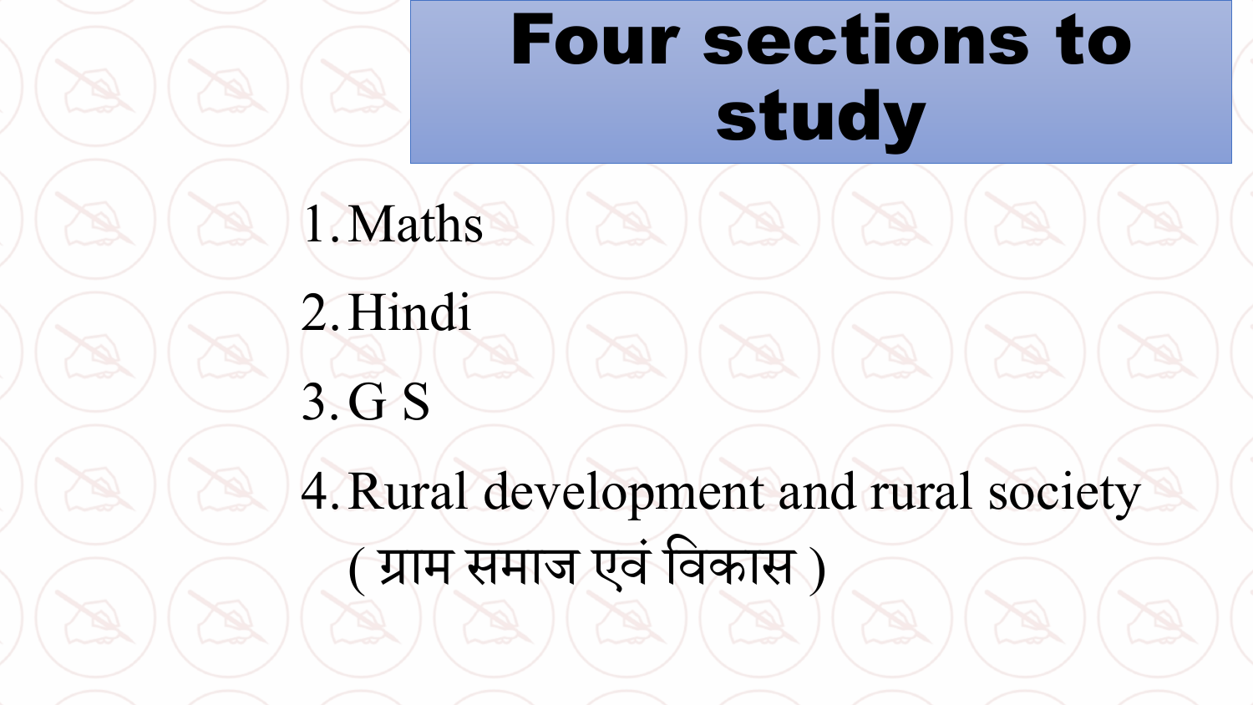#### Four sections to study

1.Maths

2.Hindi 3.G S 4.Rural development and rural society ( ग्राम समाज एव ंववकास )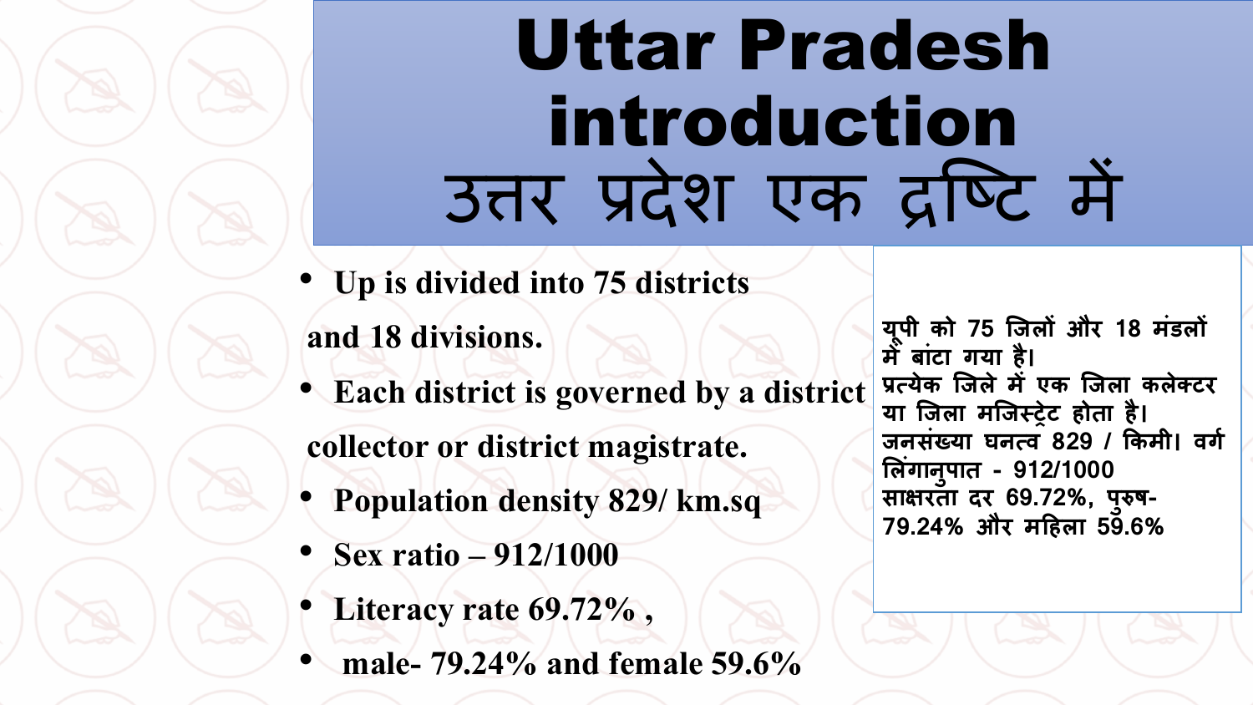#### Uttar Pradesh introduction उत्तर प्रदेश एक द्रष्टि में

• **Up is divided into 75 districts** 

**and 18 divisions.**

• **Each district is governed by a district**

**collector or district magistrate.**

- **Population density 829/ km.sq**
- **Sex ratio –912/1000**
- **Literacy rate 69.72% ,**
- **male- 79.24% and female 59.6%**

**य ू पी को 75 जिलों और 18 मंडलों मेंबांटा गया है। प्रत्येक जिले मेंएक जिला कलेक्टर या जिला मजिस्ट्रेट होता है। िनसंख्या घनत्व 829 / ककमी। वगग ललगं ान ु पात - 912/1000 साक्षरता दर 69.72%, प ु रुष-79.24% और महहला 59.6%**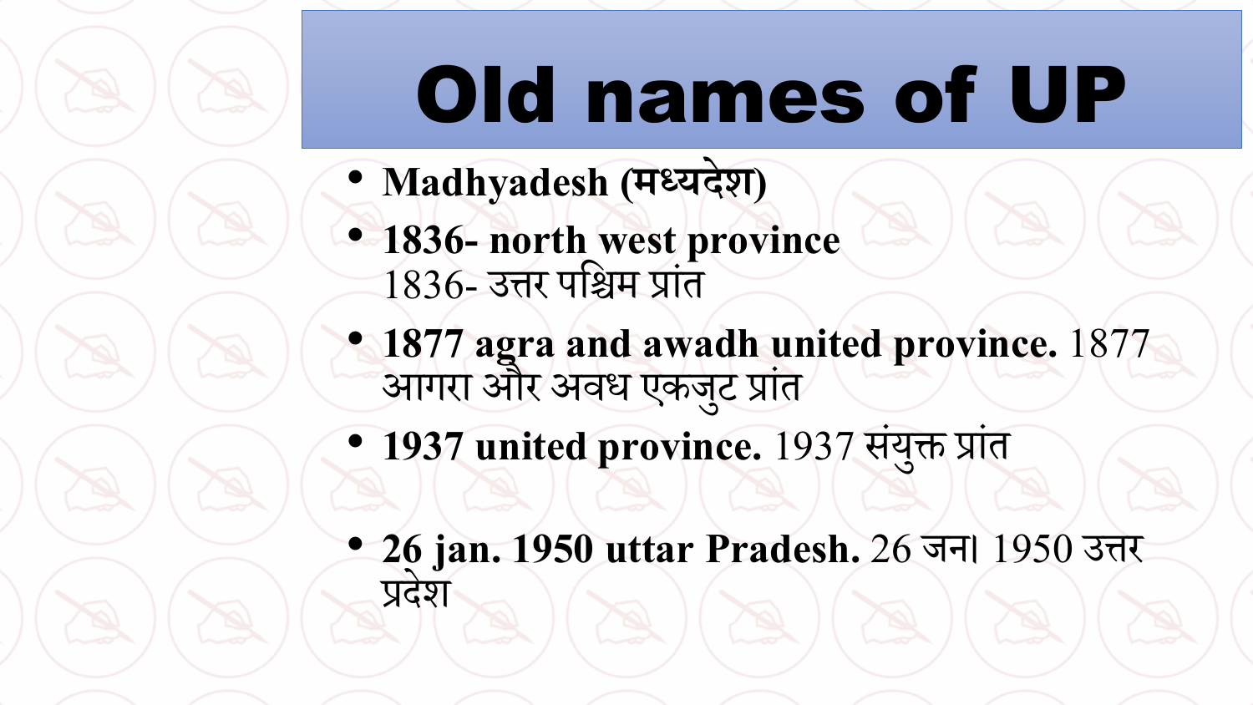# Old names of UP

- **Madhyadesh (मध्यिेश)**
- **1836- north west province** 1836- उत्तर पविम प्ांत
- **1877 agraand awadh united province.** 1877 आगरा और अवध एकजट ु प्ांत
- 1937 united province. 1937 संयुक्त प्रांत
- **26 jan.1950 uttar Pradesh.** 26 जन। 1950 उत्तर प्देश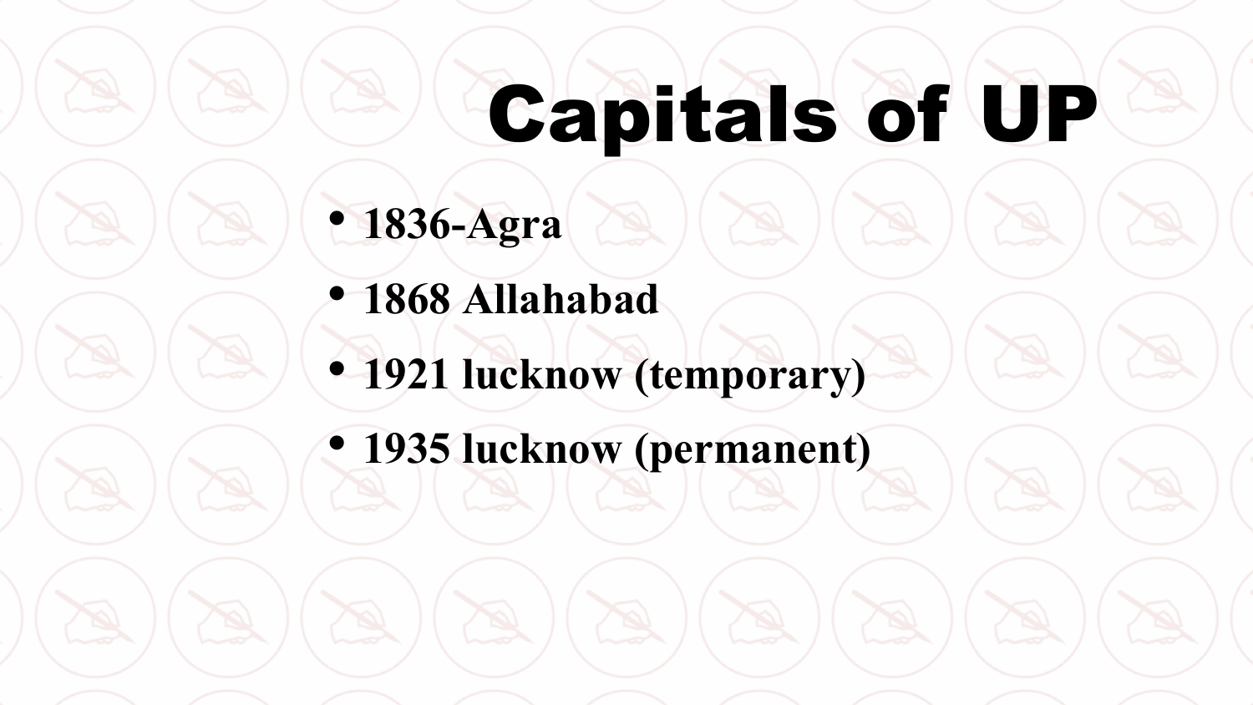# Capitals of UP

#### • **1836-Agra**

- **1868 Allahabad**
- **1921 lucknow (temporary)**
- **1935 lucknow (permanent)**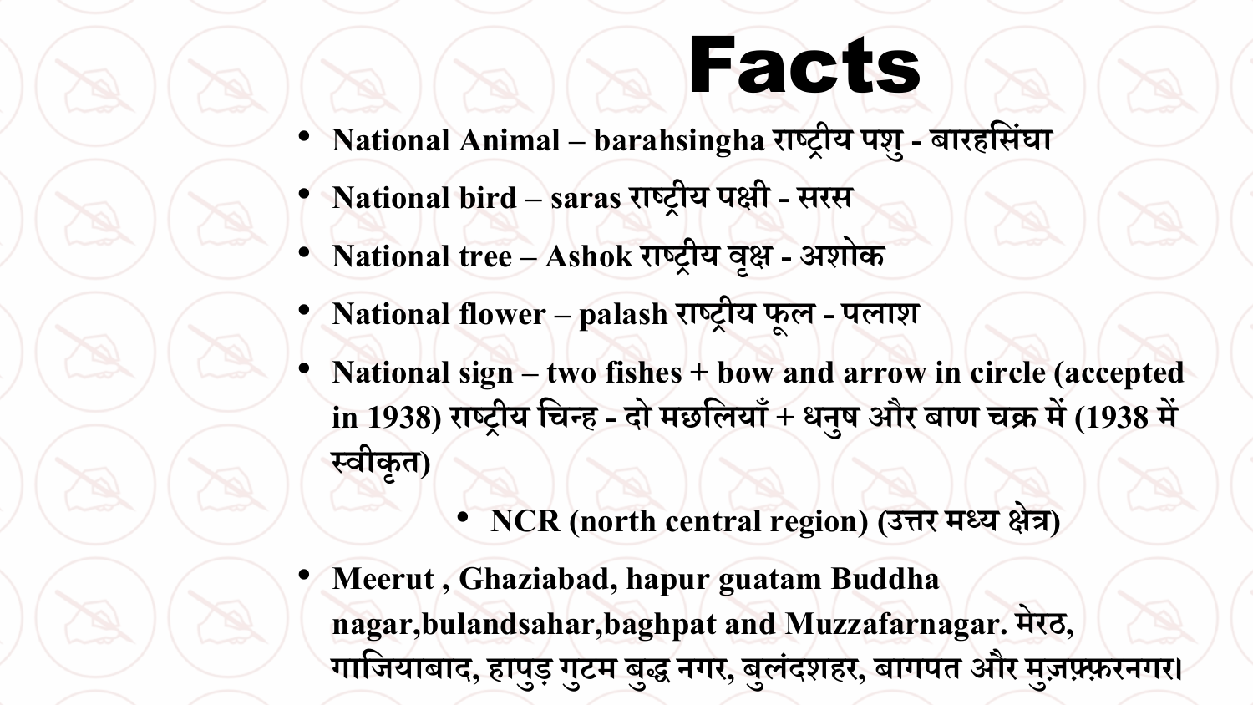## Facts

- **National Animal – barahsinghaराष्ट्रीय पश ु- बारहतसंघा**
- **National bird –saras राष्ट्रीय पक्षी - सरस**
- **National tree – Ashok राष्ट्रीय िक्षृ - अशोक**
- **National flower – palash राष्ट्रीय फ ू ल - पलाश**
- **National sign – two fishes + bow and arrow in circle (accepted in 1938) राष्ट्रीय तचन्ह - िो मछतलयााँ + धन ु ि और बाण चक्र में (1938 में स्िीक ृ ि)**
	- **NCR (north central region) (उत्तर मध्य क्षेत्र)**
- **Meerut , Ghaziabad, hapurguatam Buddha nagar,bulandsahar,baghpatand Muzzafarnagar. मेरठ, गातजयाबाि, हाप ुड़ ग ु टम ब ुद्ध नगर, ब ु लंिशहर, बागपि और म ुज़फ़्फ़रनगर।**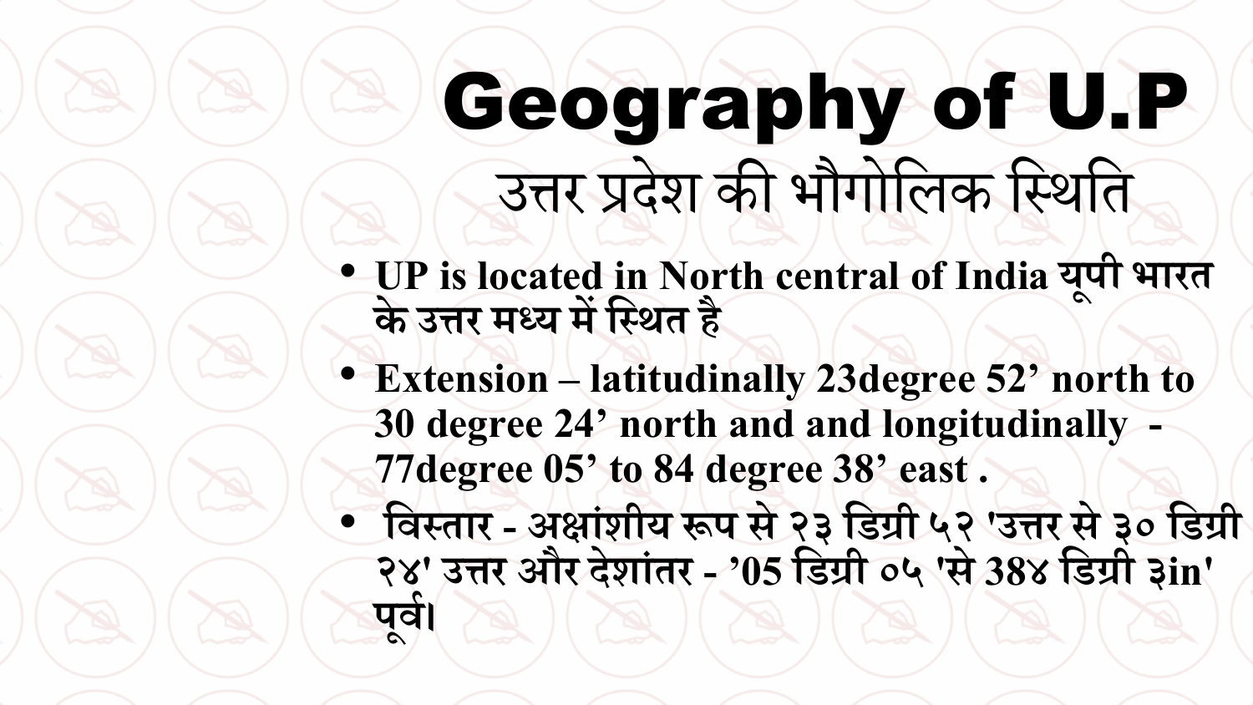#### Geography of U.P उत्तर प्देश की भौगोविक वथिवत

- **UP is located in North central of India य ू पी भारि** के उत्तर मध्य में स्थित है
- **Extension –latitudinally 23degree 52' north to 30 degree 24' north and and longitudinally - 77degree 05' to 84 degree 38' east .**
- **तिस्िार - अक्षा शीय रूप से२३ तडग्री ५२ 'उत्तर से ३० तडग्री ं २४' उत्तर और िेशा िर - '05 तडग्री ०५ 'से 38४ तडग्री ३in' ं प ू िय।**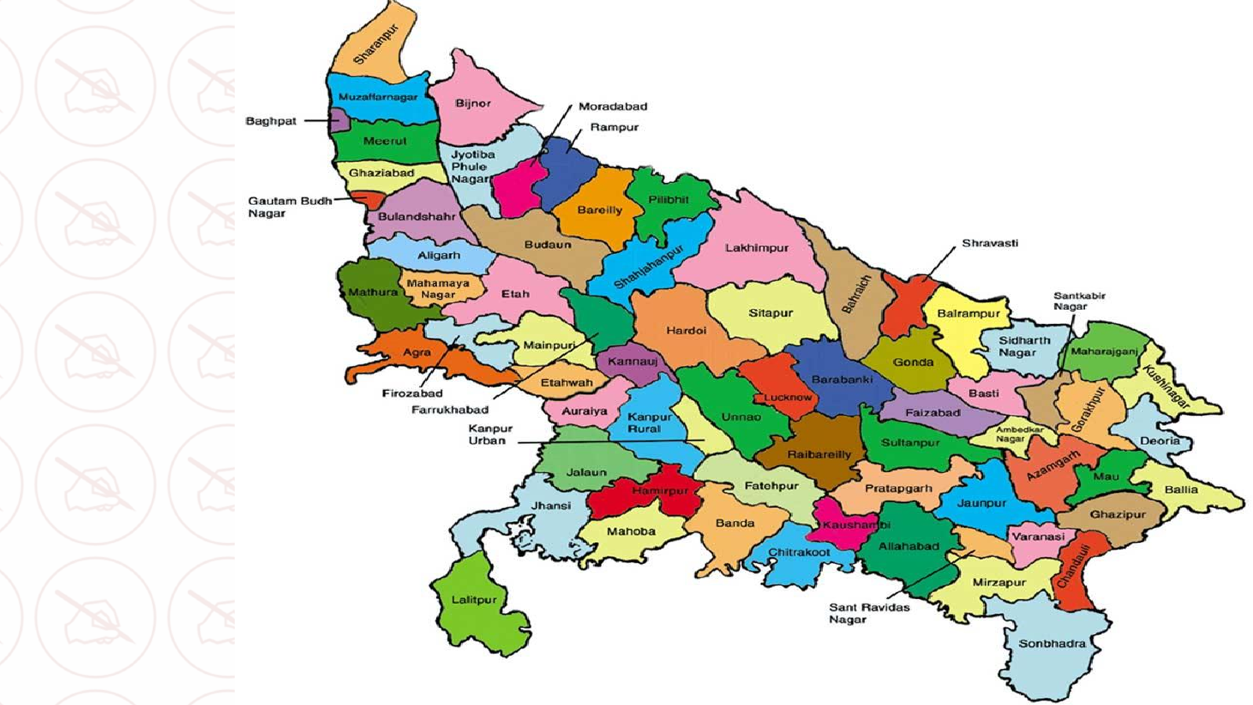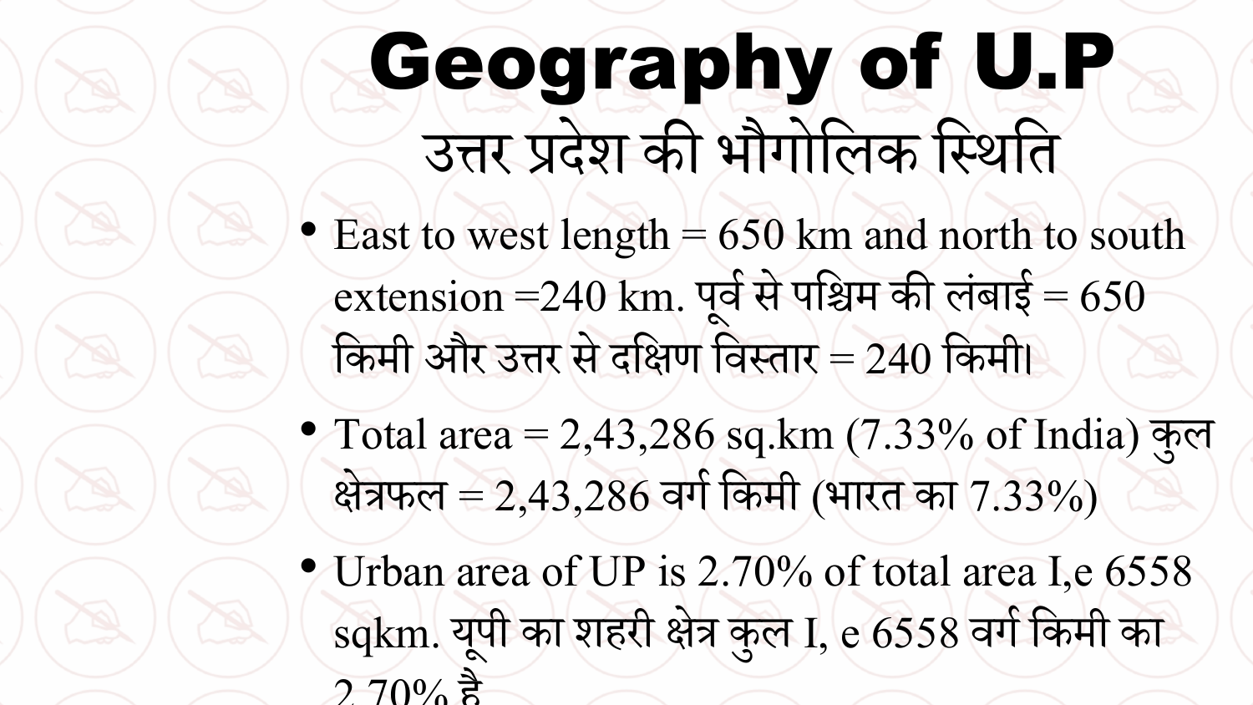## Geography of U.P उत्तर प्देश की भौगोविक वथिवत

- East to west length  $= 650$  km and north to south  $\text{extension} = 240 \text{ km}$ . पूर्व से पश्चिम की लंबाई = 650 ं किमी और उत्तर से दक्षिण विस्तार = 240 किमी।
- Total area = 2,43,286 sq.km (7.33% of India) क ु ि क्षेत्रफल = 2,43,286 वर्ग किमी (भारत का 7.33%)
- Urban area of UP is 2.70% of total area I,e 6558 sqkm. यूपी का शहरी क्षेत्र कुल I, e 6558 वर्ग किमी का  $2.70\%$  है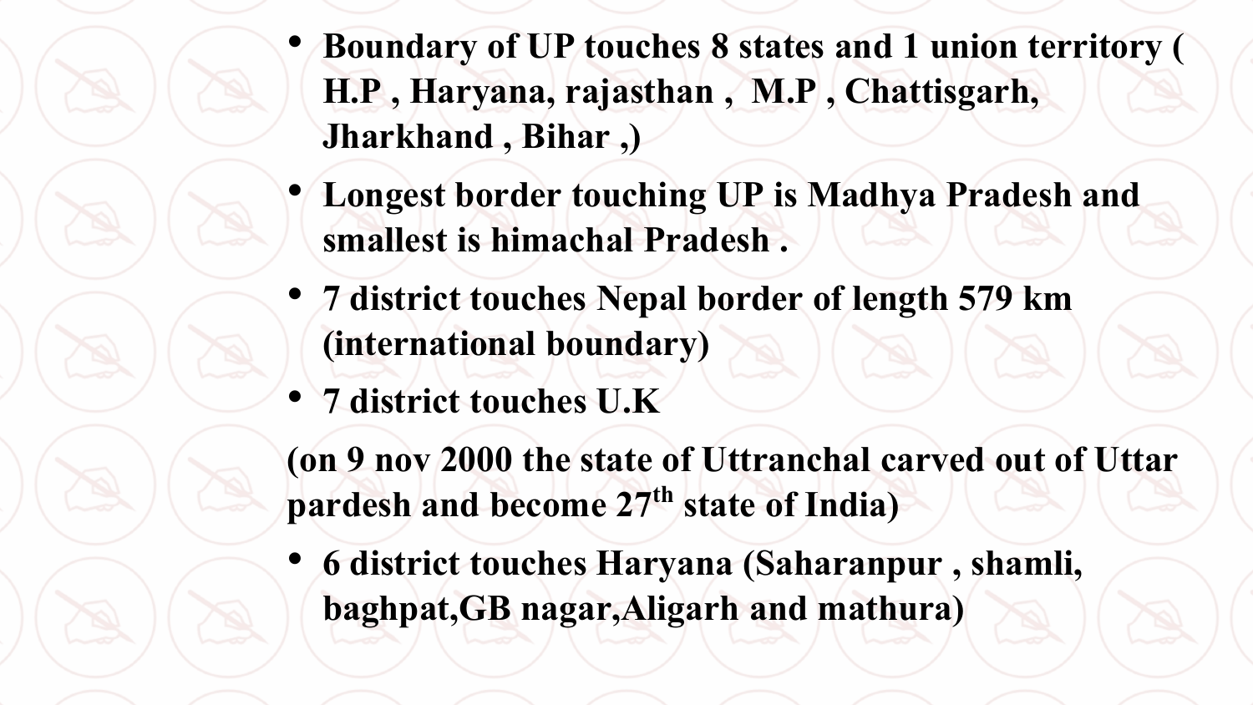- **Boundary of UP touches 8 states and 1 union territory ( H.P , Haryana, rajasthan , M.P , Chattisgarh, Jharkhand , Bihar ,)**
- **Longest border touching UP is Madhya Pradesh and smallest is himachal Pradesh .**
- **7 district touches Nepal border of length 579 km (international boundary)**
- **7 district touches U.K**

**(on 9 nov 2000 the state of Uttranchal carved out of Uttar pardesh and become 27th state of India)**

• **6 district touches Haryana (Saharanpur , shamli, baghpat,GB nagar,Aligarh and mathura)**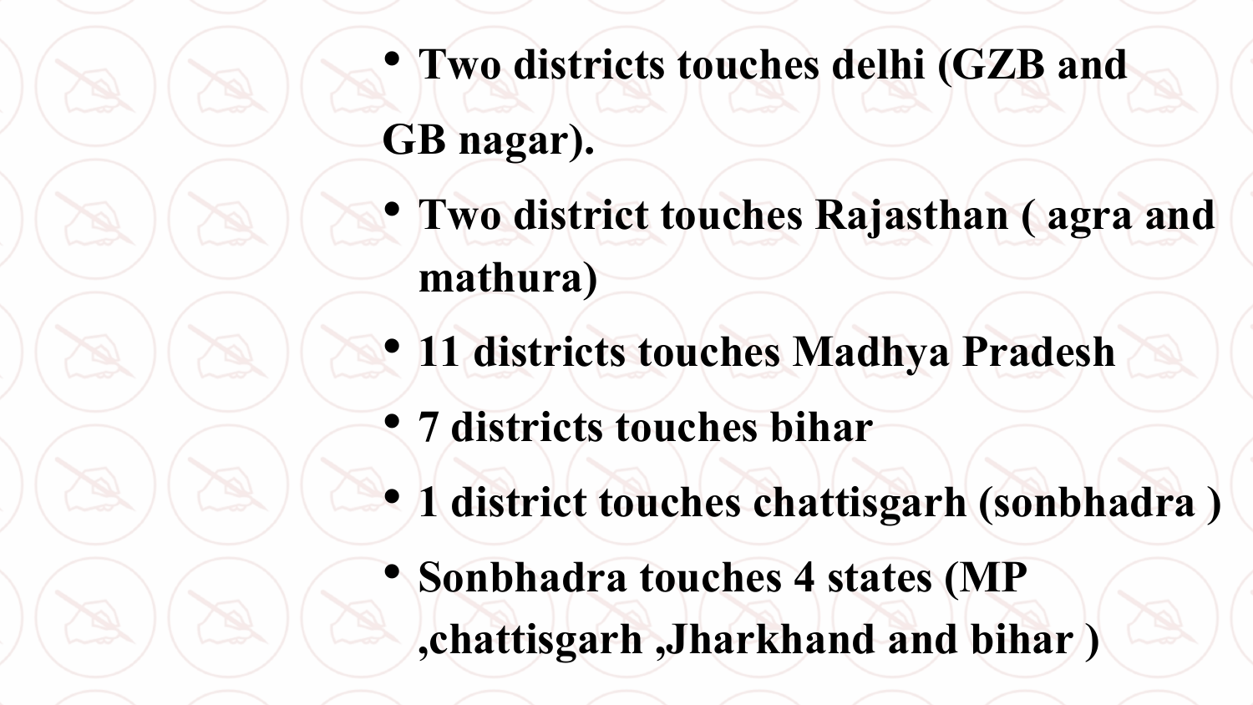- **Two districts touches delhi (GZB and GB nagar).**
- **Two district touches Rajasthan ( agraand mathura)**
- **11 districts touches Madhya Pradesh**
- **7 districts touches bihar**
- **1 district touches chattisgarh (sonbhadra)**
- **Sonbhadra touches 4 states (MP ,chattisgarh ,Jharkhand and bihar )**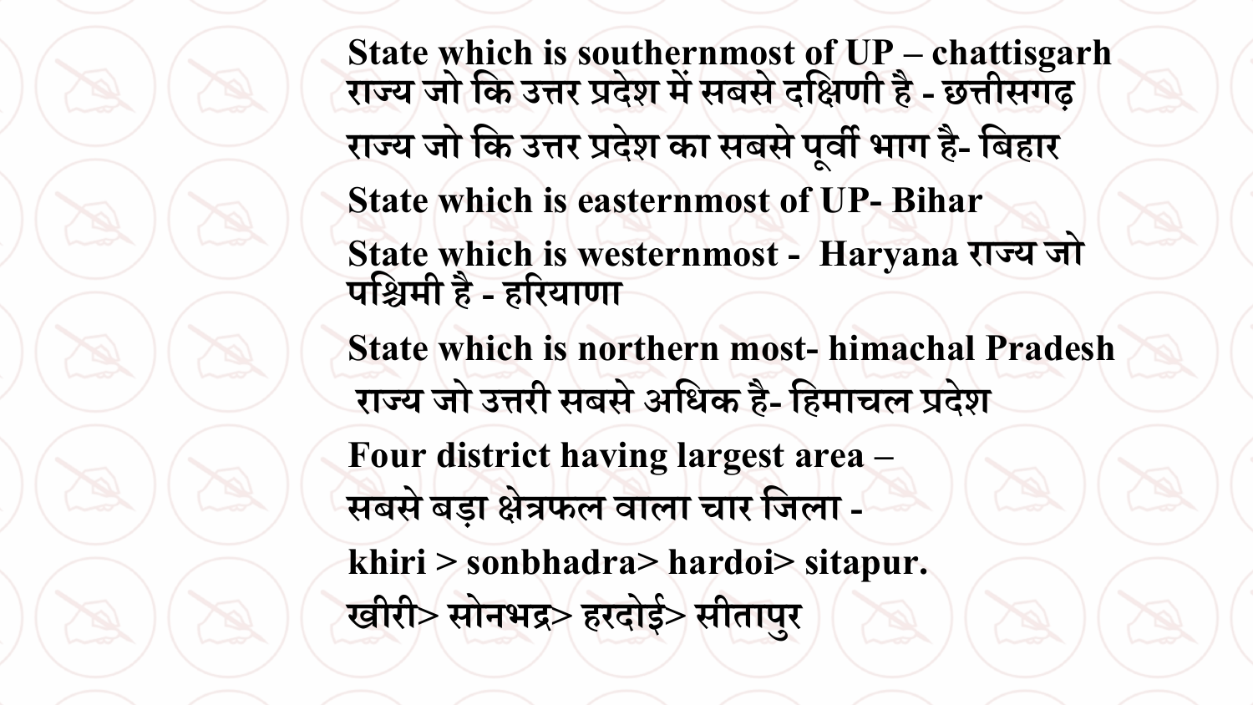**State which is southernmost of UP – chattisgarh राज्य जो तक उत्तर प्रिेश में सबसे ितक्षणी है - छत्तीसगढ़ राज्य जो तक उत्तर प्रिेश का सबसेप ू िी भाग है- तबहार State which is easternmost of UP- Bihar State which is westernmost - Haryana राज्य जो पतिमी है - हररयाणा State which is northern most- himachal Pradesh राज्य जो उत्तरी सबसे अतधक है- तहमाचल प्रिेश Four district having largest area – सबसे बड़ा क्षेत्रफल िाला चार तजला khiri > sonbhadra> hardoi> sitapur.**  खीरी> सोनभद्र> हरदोई> सीतापुर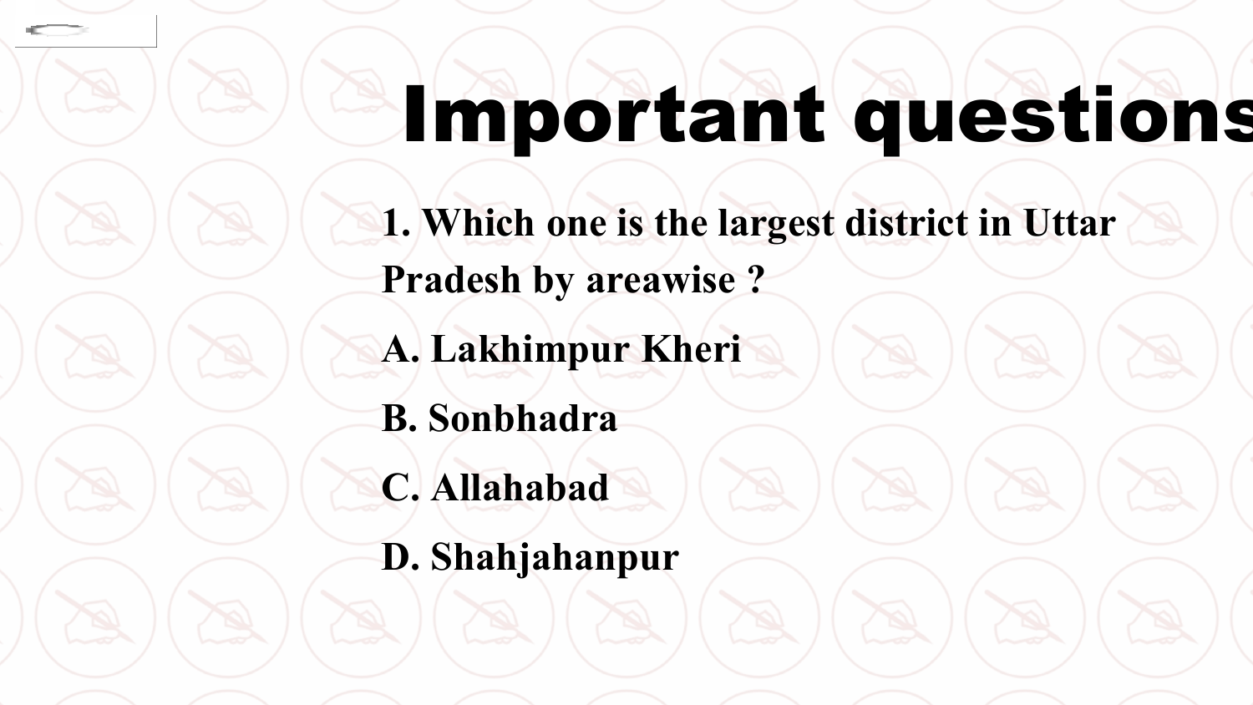# Important questions

**1. Which one is the largest district in Uttar Pradesh by areawise ?**

**A. Lakhimpur Kheri**

**B. Sonbhadra**

**C. Allahabad**

**D. Shahjahanpur**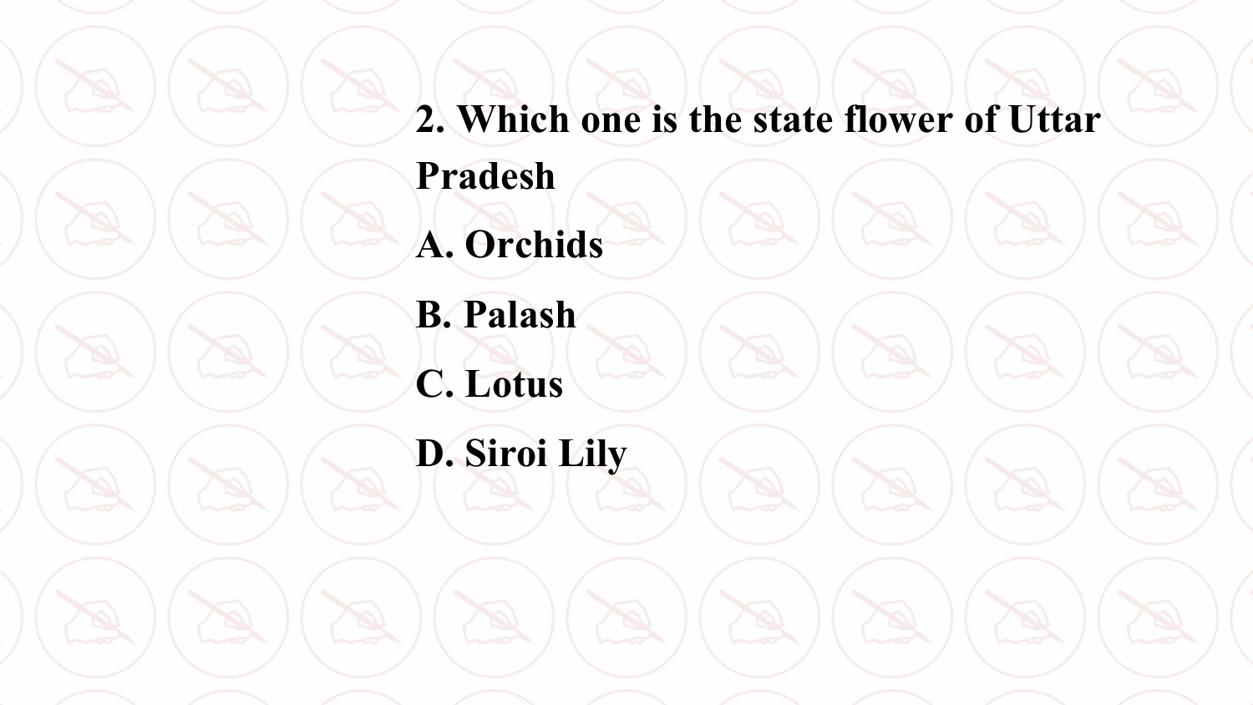**2. Which one is the state flower of Uttar Pradesh A. Orchids B. Palash C. Lotus D. Siroi Lily**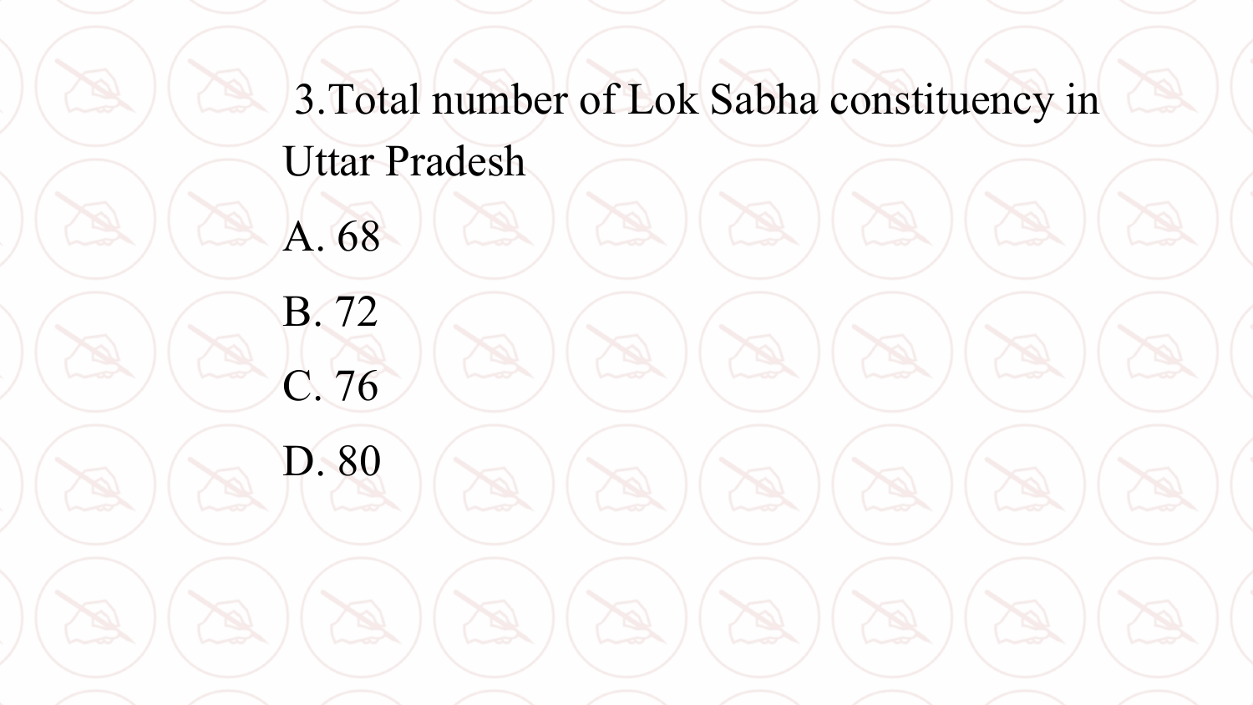3.Total number of Lok Sabha constituency in Uttar Pradesh

A. 68

B. 72

C. 76

D. 80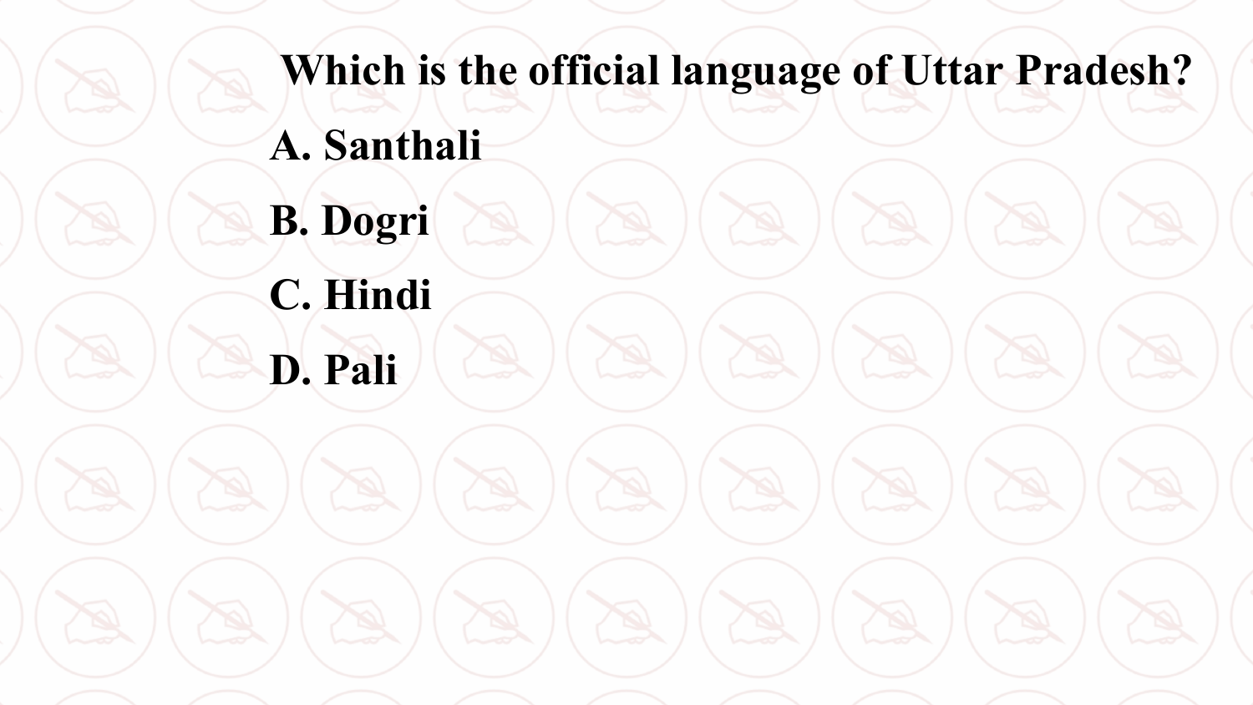**Which is the official language of Uttar Pradesh? A. Santhali B. Dogri C. Hindi D. Pali**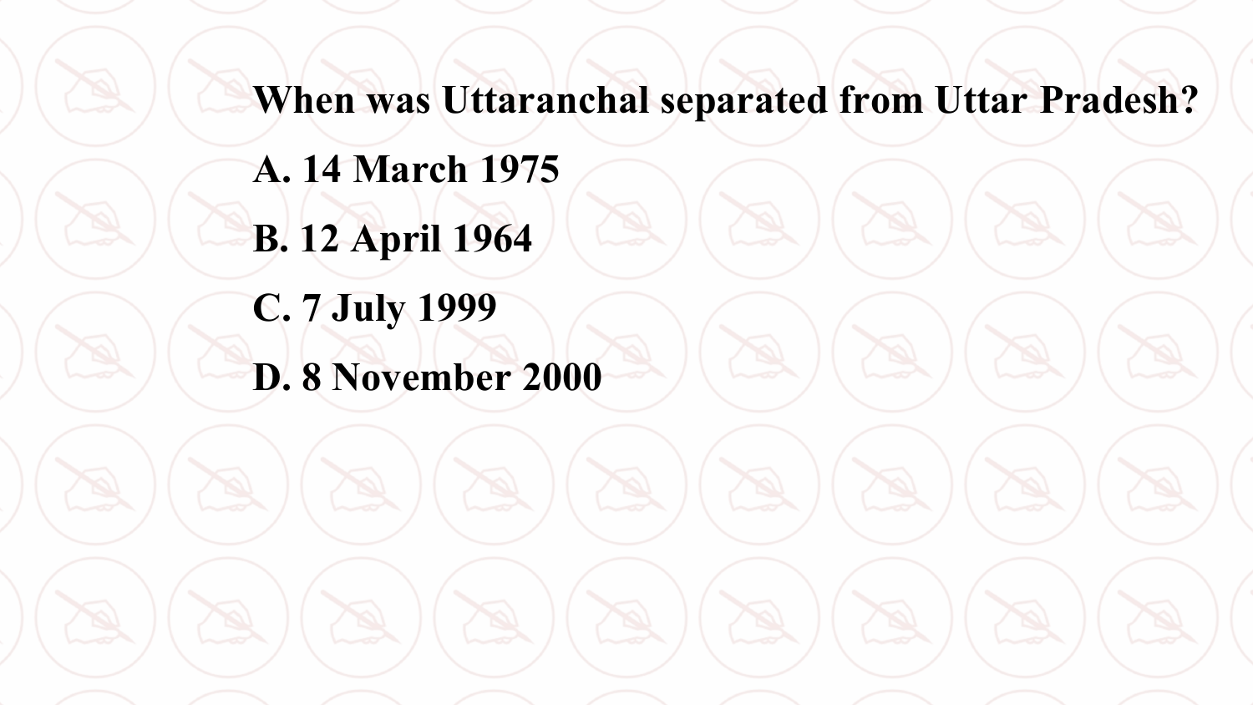**When was Uttaranchal separated from Uttar Pradesh?**

**A. 14 March 1975 B. 12 April 1964**

**C. 7 July 1999**

**D. 8 November 2000**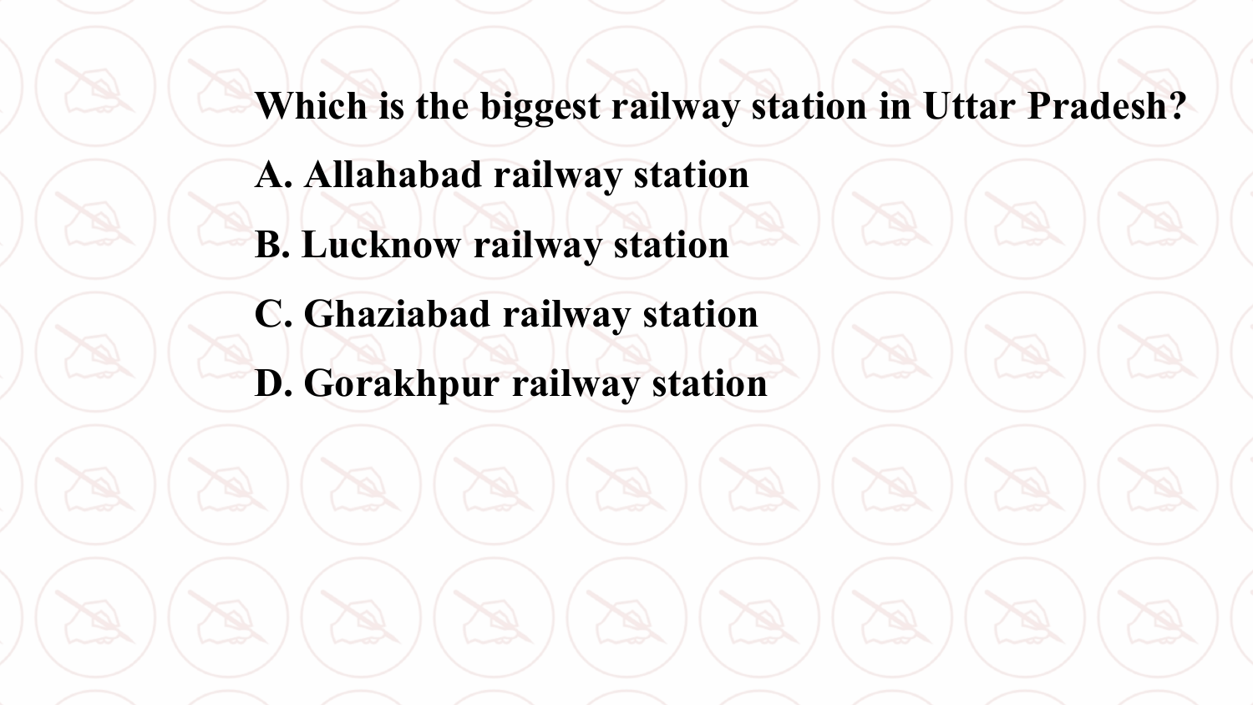**Which is the biggest railway station in Uttar Pradesh?**

- **A. Allahabad railway station**
- **B. Lucknow railway station**
- **C. Ghaziabad railway station**
- **D. Gorakhpur railway station**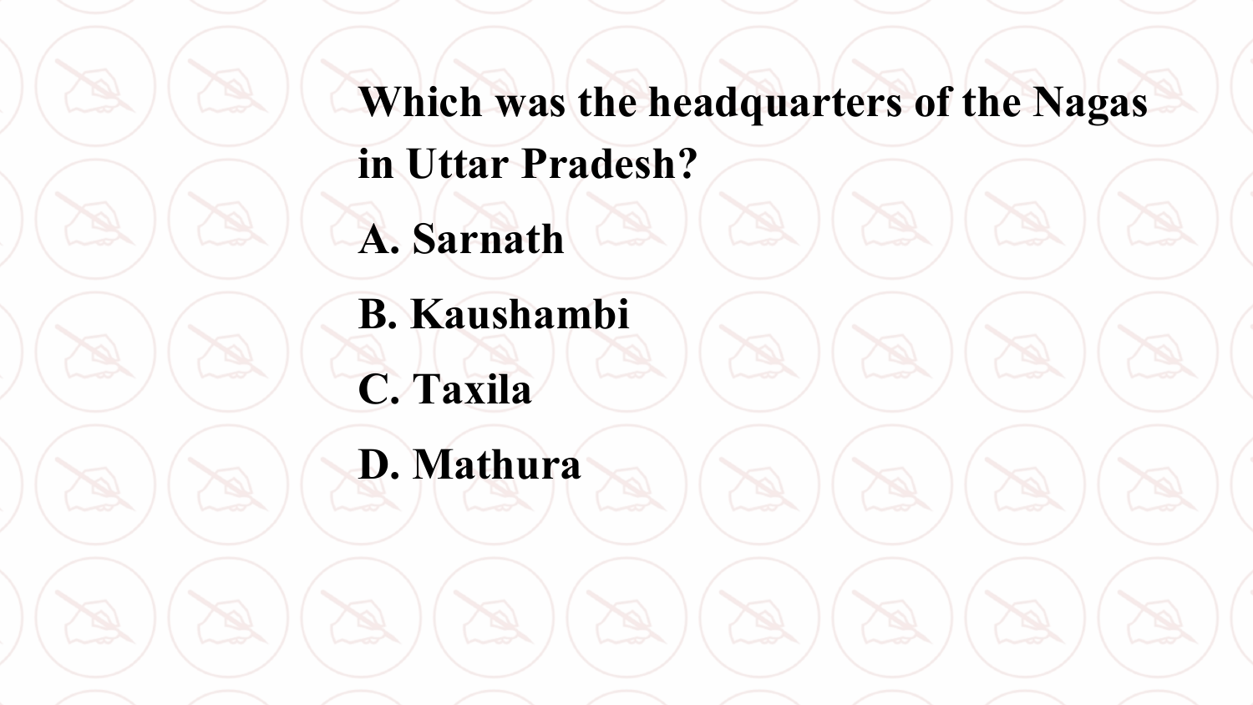**Which was the headquarters of the Nagas in Uttar Pradesh? A. Sarnath**

**B. Kaushambi C. Taxila**

**D. Mathura**